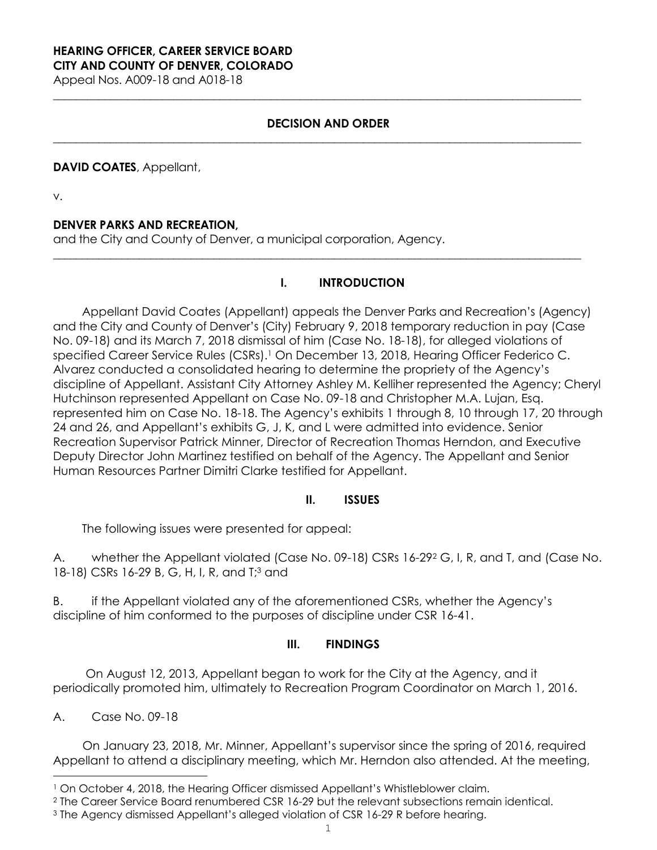#### **HEARING OFFICER, CAREER SERVICE BOARD CITY AND COUNTY OF DENVER, COLORADO**

Appeal Nos. A009-18 and A018-18

### **DECISION AND ORDER**

**\_\_\_\_\_\_\_\_\_\_\_\_\_\_\_\_\_\_\_\_\_\_\_\_\_\_\_\_\_\_\_\_\_\_\_\_\_\_\_\_\_\_\_\_\_\_\_\_\_\_\_\_\_\_\_\_\_\_\_\_\_\_\_\_\_\_\_\_\_\_\_\_\_\_\_\_\_\_\_\_\_\_\_\_\_\_\_\_\_\_\_\_**

**\_\_\_\_\_\_\_\_\_\_\_\_\_\_\_\_\_\_\_\_\_\_\_\_\_\_\_\_\_\_\_\_\_\_\_\_\_\_\_\_\_\_\_\_\_\_\_\_\_\_\_\_\_\_\_\_\_\_\_\_\_\_\_\_\_\_\_\_\_\_\_\_\_\_\_\_\_\_\_\_\_\_\_\_\_\_\_\_\_\_\_\_**

**\_\_\_\_\_\_\_\_\_\_\_\_\_\_\_\_\_\_\_\_\_\_\_\_\_\_\_\_\_\_\_\_\_\_\_\_\_\_\_\_\_\_\_\_\_\_\_\_\_\_\_\_\_\_\_\_\_\_\_\_\_\_\_\_\_\_\_\_\_\_\_\_\_\_\_\_\_\_\_\_\_\_\_\_\_\_\_\_\_\_\_\_** 

#### **DAVID COATES**, Appellant,

v.

#### **DENVER PARKS AND RECREATION,**

and the City and County of Denver, a municipal corporation, Agency.

#### **I. INTRODUCTION**

Appellant David Coates (Appellant) appeals the Denver Parks and Recreation's (Agency) and the City and County of Denver's (City) February 9, 2018 temporary reduction in pay (Case No. 09-18) and its March 7, 2018 dismissal of him (Case No. 18-18), for alleged violations of specified Career Service Rules (CSRs).<sup>1</sup> On December 13, 2018, Hearing Officer Federico C. Alvarez conducted a consolidated hearing to determine the propriety of the Agency's discipline of Appellant. Assistant City Attorney Ashley M. Kelliher represented the Agency; Cheryl Hutchinson represented Appellant on Case No. 09-18 and Christopher M.A. Lujan, Esq. represented him on Case No. 18-18. The Agency's exhibits 1 through 8, 10 through 17, 20 through 24 and 26, and Appellant's exhibits G, J, K, and L were admitted into evidence. Senior Recreation Supervisor Patrick Minner, Director of Recreation Thomas Herndon, and Executive Deputy Director John Martinez testified on behalf of the Agency. The Appellant and Senior Human Resources Partner Dimitri Clarke testified for Appellant.

#### **II. ISSUES**

The following issues were presented for appeal:

A. whether the Appellant violated (Case No. 09-18) CSRs 16-292 G, I, R, and T, and (Case No. 18-18) CSRs 16-29 B, G, H, I, R, and T;<sup>3</sup> and

B. if the Appellant violated any of the aforementioned CSRs, whether the Agency's discipline of him conformed to the purposes of discipline under CSR 16-41.

#### **III. FINDINGS**

 On August 12, 2013, Appellant began to work for the City at the Agency, and it periodically promoted him, ultimately to Recreation Program Coordinator on March 1, 2016.

A. Case No. 09-18

i

On January 23, 2018, Mr. Minner, Appellant's supervisor since the spring of 2016, required Appellant to attend a disciplinary meeting, which Mr. Herndon also attended. At the meeting,

<sup>1</sup> On October 4, 2018, the Hearing Officer dismissed Appellant's Whistleblower claim.

<sup>2</sup> The Career Service Board renumbered CSR 16-29 but the relevant subsections remain identical.

<sup>3</sup> The Agency dismissed Appellant's alleged violation of CSR 16-29 R before hearing.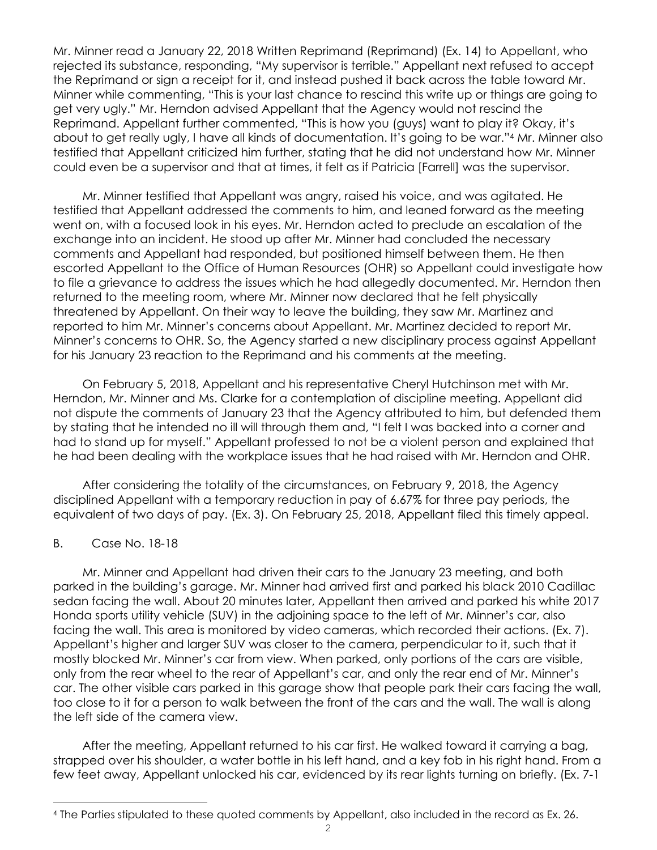Mr. Minner read a January 22, 2018 Written Reprimand (Reprimand) (Ex. 14) to Appellant, who rejected its substance, responding, "My supervisor is terrible." Appellant next refused to accept the Reprimand or sign a receipt for it, and instead pushed it back across the table toward Mr. Minner while commenting, "This is your last chance to rescind this write up or things are going to get very ugly." Mr. Herndon advised Appellant that the Agency would not rescind the Reprimand. Appellant further commented, "This is how you (guys) want to play it? Okay, it's about to get really ugly, I have all kinds of documentation. It's going to be war."4 Mr. Minner also testified that Appellant criticized him further, stating that he did not understand how Mr. Minner could even be a supervisor and that at times, it felt as if Patricia [Farrell] was the supervisor.

Mr. Minner testified that Appellant was angry, raised his voice, and was agitated. He testified that Appellant addressed the comments to him, and leaned forward as the meeting went on, with a focused look in his eyes. Mr. Herndon acted to preclude an escalation of the exchange into an incident. He stood up after Mr. Minner had concluded the necessary comments and Appellant had responded, but positioned himself between them. He then escorted Appellant to the Office of Human Resources (OHR) so Appellant could investigate how to file a grievance to address the issues which he had allegedly documented. Mr. Herndon then returned to the meeting room, where Mr. Minner now declared that he felt physically threatened by Appellant. On their way to leave the building, they saw Mr. Martinez and reported to him Mr. Minner's concerns about Appellant. Mr. Martinez decided to report Mr. Minner's concerns to OHR. So, the Agency started a new disciplinary process against Appellant for his January 23 reaction to the Reprimand and his comments at the meeting.

On February 5, 2018, Appellant and his representative Cheryl Hutchinson met with Mr. Herndon, Mr. Minner and Ms. Clarke for a contemplation of discipline meeting. Appellant did not dispute the comments of January 23 that the Agency attributed to him, but defended them by stating that he intended no ill will through them and, "I felt I was backed into a corner and had to stand up for myself." Appellant professed to not be a violent person and explained that he had been dealing with the workplace issues that he had raised with Mr. Herndon and OHR.

After considering the totality of the circumstances, on February 9, 2018, the Agency disciplined Appellant with a temporary reduction in pay of 6.67% for three pay periods, the equivalent of two days of pay. (Ex. 3). On February 25, 2018, Appellant filed this timely appeal.

#### B. Case No. 18-18

i

Mr. Minner and Appellant had driven their cars to the January 23 meeting, and both parked in the building's garage. Mr. Minner had arrived first and parked his black 2010 Cadillac sedan facing the wall. About 20 minutes later, Appellant then arrived and parked his white 2017 Honda sports utility vehicle (SUV) in the adjoining space to the left of Mr. Minner's car, also facing the wall. This area is monitored by video cameras, which recorded their actions. (Ex. 7). Appellant's higher and larger SUV was closer to the camera, perpendicular to it, such that it mostly blocked Mr. Minner's car from view. When parked, only portions of the cars are visible, only from the rear wheel to the rear of Appellant's car, and only the rear end of Mr. Minner's car. The other visible cars parked in this garage show that people park their cars facing the wall, too close to it for a person to walk between the front of the cars and the wall. The wall is along the left side of the camera view.

After the meeting, Appellant returned to his car first. He walked toward it carrying a bag, strapped over his shoulder, a water bottle in his left hand, and a key fob in his right hand. From a few feet away, Appellant unlocked his car, evidenced by its rear lights turning on briefly. (Ex. 7-1

<sup>4</sup> The Parties stipulated to these quoted comments by Appellant, also included in the record as Ex. 26.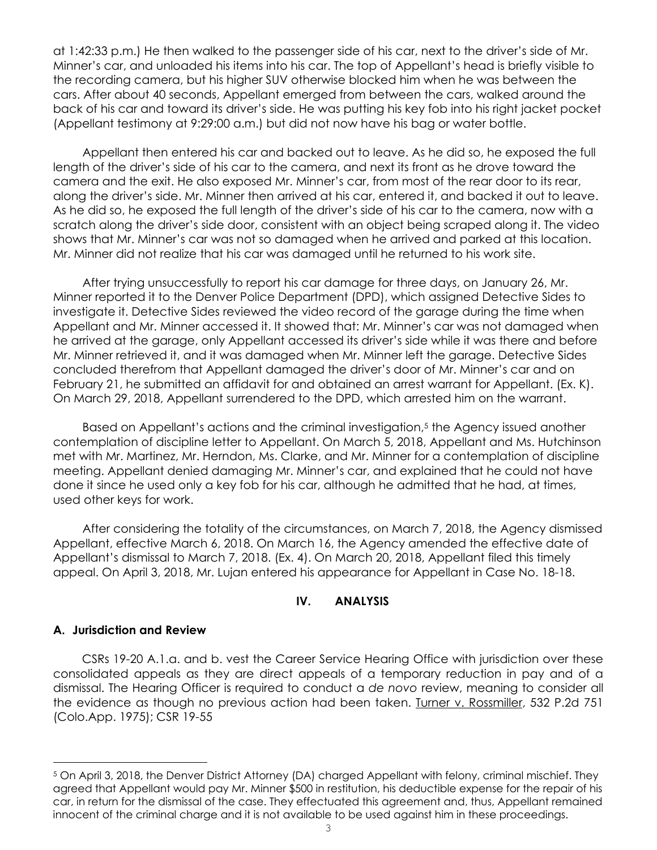at 1:42:33 p.m.) He then walked to the passenger side of his car, next to the driver's side of Mr. Minner's car, and unloaded his items into his car. The top of Appellant's head is briefly visible to the recording camera, but his higher SUV otherwise blocked him when he was between the cars. After about 40 seconds, Appellant emerged from between the cars, walked around the back of his car and toward its driver's side. He was putting his key fob into his right jacket pocket (Appellant testimony at 9:29:00 a.m.) but did not now have his bag or water bottle.

Appellant then entered his car and backed out to leave. As he did so, he exposed the full length of the driver's side of his car to the camera, and next its front as he drove toward the camera and the exit. He also exposed Mr. Minner's car, from most of the rear door to its rear, along the driver's side. Mr. Minner then arrived at his car, entered it, and backed it out to leave. As he did so, he exposed the full length of the driver's side of his car to the camera, now with a scratch along the driver's side door, consistent with an object being scraped along it. The video shows that Mr. Minner's car was not so damaged when he arrived and parked at this location. Mr. Minner did not realize that his car was damaged until he returned to his work site.

After trying unsuccessfully to report his car damage for three days, on January 26, Mr. Minner reported it to the Denver Police Department (DPD), which assigned Detective Sides to investigate it. Detective Sides reviewed the video record of the garage during the time when Appellant and Mr. Minner accessed it. It showed that: Mr. Minner's car was not damaged when he arrived at the garage, only Appellant accessed its driver's side while it was there and before Mr. Minner retrieved it, and it was damaged when Mr. Minner left the garage. Detective Sides concluded therefrom that Appellant damaged the driver's door of Mr. Minner's car and on February 21, he submitted an affidavit for and obtained an arrest warrant for Appellant. (Ex. K). On March 29, 2018, Appellant surrendered to the DPD, which arrested him on the warrant.

Based on Appellant's actions and the criminal investigation,<sup>5</sup> the Agency issued another contemplation of discipline letter to Appellant. On March 5, 2018, Appellant and Ms. Hutchinson met with Mr. Martinez, Mr. Herndon, Ms. Clarke, and Mr. Minner for a contemplation of discipline meeting. Appellant denied damaging Mr. Minner's car, and explained that he could not have done it since he used only a key fob for his car, although he admitted that he had, at times, used other keys for work.

After considering the totality of the circumstances, on March 7, 2018, the Agency dismissed Appellant, effective March 6, 2018. On March 16, the Agency amended the effective date of Appellant's dismissal to March 7, 2018. (Ex. 4). On March 20, 2018, Appellant filed this timely appeal. On April 3, 2018, Mr. Lujan entered his appearance for Appellant in Case No. 18-18.

#### **IV. ANALYSIS**

#### **A. Jurisdiction and Review**

i

CSRs 19-20 A.1.a. and b. vest the Career Service Hearing Office with jurisdiction over these consolidated appeals as they are direct appeals of a temporary reduction in pay and of a dismissal. The Hearing Officer is required to conduct a *de novo* review, meaning to consider all the evidence as though no previous action had been taken. Turner v. Rossmiller, 532 P.2d 751 (Colo.App. 1975); CSR 19-55

<sup>5</sup> On April 3, 2018, the Denver District Attorney (DA) charged Appellant with felony, criminal mischief. They agreed that Appellant would pay Mr. Minner \$500 in restitution, his deductible expense for the repair of his car, in return for the dismissal of the case. They effectuated this agreement and, thus, Appellant remained innocent of the criminal charge and it is not available to be used against him in these proceedings.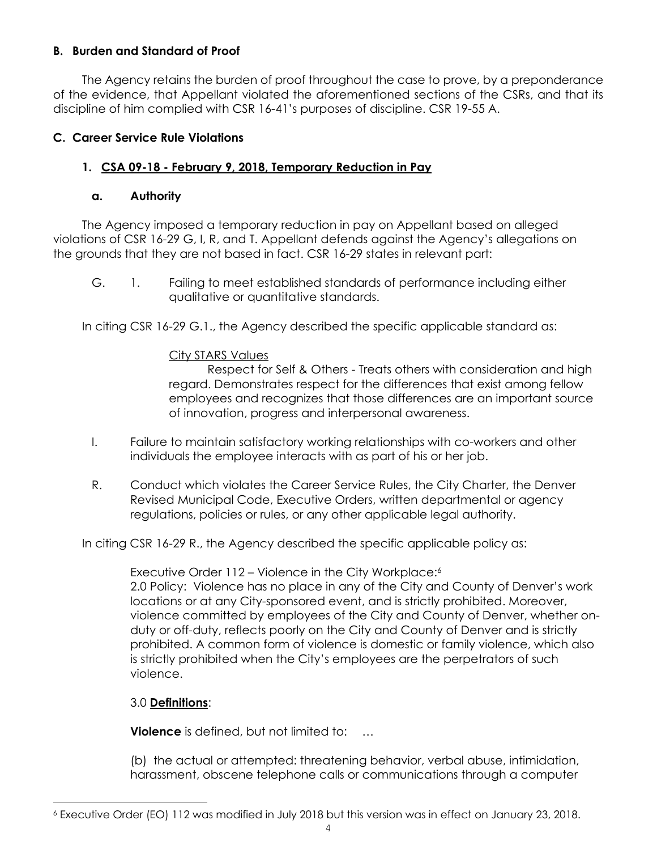### **B. Burden and Standard of Proof**

The Agency retains the burden of proof throughout the case to prove, by a preponderance of the evidence, that Appellant violated the aforementioned sections of the CSRs, and that its discipline of him complied with CSR 16-41's purposes of discipline. CSR 19-55 A.

### **C. Career Service Rule Violations**

## **1. CSA 09-18 - February 9, 2018, Temporary Reduction in Pay**

### **a. Authority**

The Agency imposed a temporary reduction in pay on Appellant based on alleged violations of CSR 16-29 G, I, R, and T. Appellant defends against the Agency's allegations on the grounds that they are not based in fact. CSR 16-29 states in relevant part:

G. 1. Failing to meet established standards of performance including either qualitative or quantitative standards.

In citing CSR 16-29 G.1., the Agency described the specific applicable standard as:

### City STARS Values

Respect for Self & Others - Treats others with consideration and high regard. Demonstrates respect for the differences that exist among fellow employees and recognizes that those differences are an important source of innovation, progress and interpersonal awareness.

- I. Failure to maintain satisfactory working relationships with co-workers and other individuals the employee interacts with as part of his or her job.
- R. Conduct which violates the Career Service Rules, the City Charter, the Denver Revised Municipal Code, Executive Orders, written departmental or agency regulations, policies or rules, or any other applicable legal authority.

In citing CSR 16-29 R., the Agency described the specific applicable policy as:

Executive Order 112 – Violence in the City Workplace:6

2.0 Policy: Violence has no place in any of the City and County of Denver's work locations or at any City-sponsored event, and is strictly prohibited. Moreover, violence committed by employees of the City and County of Denver, whether onduty or off-duty, reflects poorly on the City and County of Denver and is strictly prohibited. A common form of violence is domestic or family violence, which also is strictly prohibited when the City's employees are the perpetrators of such violence.

## 3.0 **Definitions**:

**Violence** is defined, but not limited to: ...

(b) the actual or attempted: threatening behavior, verbal abuse, intimidation, harassment, obscene telephone calls or communications through a computer

i 6 Executive Order (EO) 112 was modified in July 2018 but this version was in effect on January 23, 2018.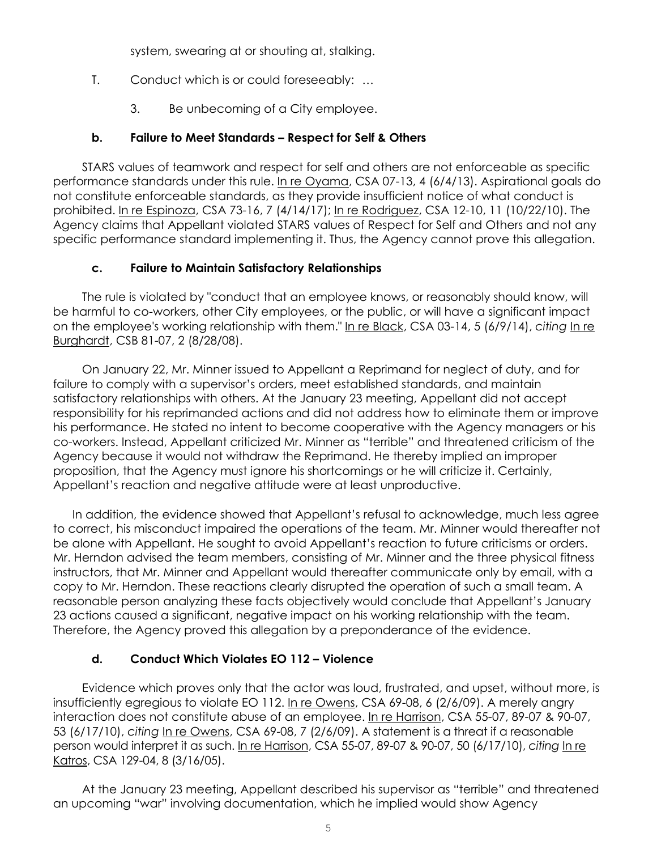system, swearing at or shouting at, stalking.

- T. Conduct which is or could foreseeably: …
	- 3. Be unbecoming of a City employee.

### **b. Failure to Meet Standards – Respect for Self & Others**

STARS values of teamwork and respect for self and others are not enforceable as specific performance standards under this rule. In re Oyama, CSA 07-13, 4 (6/4/13). Aspirational goals do not constitute enforceable standards, as they provide insufficient notice of what conduct is prohibited. In re Espinoza, CSA 73-16, 7 (4/14/17); In re Rodriguez, CSA 12-10, 11 (10/22/10). The Agency claims that Appellant violated STARS values of Respect for Self and Others and not any specific performance standard implementing it. Thus, the Agency cannot prove this allegation.

### **c. Failure to Maintain Satisfactory Relationships**

The rule is violated by "conduct that an employee knows, or reasonably should know, will be harmful to co-workers, other City employees, or the public, or will have a significant impact on the employee's working relationship with them." In re Black, CSA 03-14, 5 (6/9/14), *citing* In re Burghardt, CSB 81-07, 2 (8/28/08).

On January 22, Mr. Minner issued to Appellant a Reprimand for neglect of duty, and for failure to comply with a supervisor's orders, meet established standards, and maintain satisfactory relationships with others. At the January 23 meeting, Appellant did not accept responsibility for his reprimanded actions and did not address how to eliminate them or improve his performance. He stated no intent to become cooperative with the Agency managers or his co-workers. Instead, Appellant criticized Mr. Minner as "terrible" and threatened criticism of the Agency because it would not withdraw the Reprimand. He thereby implied an improper proposition, that the Agency must ignore his shortcomings or he will criticize it. Certainly, Appellant's reaction and negative attitude were at least unproductive.

In addition, the evidence showed that Appellant's refusal to acknowledge, much less agree to correct, his misconduct impaired the operations of the team. Mr. Minner would thereafter not be alone with Appellant. He sought to avoid Appellant's reaction to future criticisms or orders. Mr. Herndon advised the team members, consisting of Mr. Minner and the three physical fitness instructors, that Mr. Minner and Appellant would thereafter communicate only by email, with a copy to Mr. Herndon. These reactions clearly disrupted the operation of such a small team. A reasonable person analyzing these facts objectively would conclude that Appellant's January 23 actions caused a significant, negative impact on his working relationship with the team. Therefore, the Agency proved this allegation by a preponderance of the evidence.

## **d. Conduct Which Violates EO 112 – Violence**

Evidence which proves only that the actor was loud, frustrated, and upset, without more, is insufficiently egregious to violate EO 112. In re Owens, CSA 69-08, 6 (2/6/09). A merely angry interaction does not constitute abuse of an employee. In re Harrison, CSA 55-07, 89-07 & 90-07, 53 (6/17/10), *citing* In re Owens, CSA 69-08, 7 (2/6/09). A statement is a threat if a reasonable person would interpret it as such. In re Harrison, CSA 55-07, 89-07 & 90-07, 50 (6/17/10), *citing* In re Katros, CSA 129-04, 8 (3/16/05).

At the January 23 meeting, Appellant described his supervisor as "terrible" and threatened an upcoming "war" involving documentation, which he implied would show Agency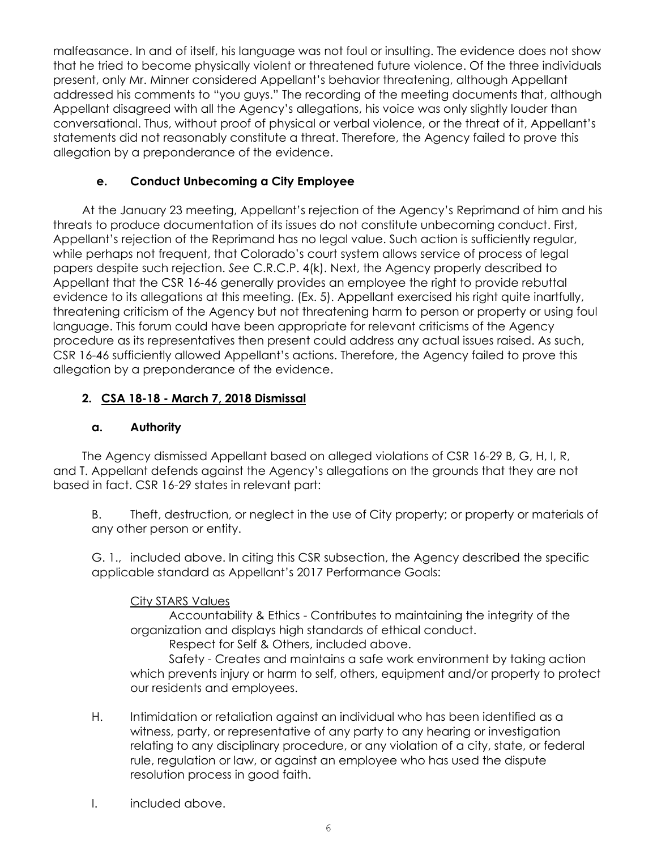malfeasance. In and of itself, his language was not foul or insulting. The evidence does not show that he tried to become physically violent or threatened future violence. Of the three individuals present, only Mr. Minner considered Appellant's behavior threatening, although Appellant addressed his comments to "you guys." The recording of the meeting documents that, although Appellant disagreed with all the Agency's allegations, his voice was only slightly louder than conversational. Thus, without proof of physical or verbal violence, or the threat of it, Appellant's statements did not reasonably constitute a threat. Therefore, the Agency failed to prove this allegation by a preponderance of the evidence.

### **e. Conduct Unbecoming a City Employee**

At the January 23 meeting, Appellant's rejection of the Agency's Reprimand of him and his threats to produce documentation of its issues do not constitute unbecoming conduct. First, Appellant's rejection of the Reprimand has no legal value. Such action is sufficiently regular, while perhaps not frequent, that Colorado's court system allows service of process of legal papers despite such rejection. *See* C.R.C.P. 4(k). Next, the Agency properly described to Appellant that the CSR 16-46 generally provides an employee the right to provide rebuttal evidence to its allegations at this meeting. (Ex. 5). Appellant exercised his right quite inartfully, threatening criticism of the Agency but not threatening harm to person or property or using foul language. This forum could have been appropriate for relevant criticisms of the Agency procedure as its representatives then present could address any actual issues raised. As such, CSR 16-46 sufficiently allowed Appellant's actions. Therefore, the Agency failed to prove this allegation by a preponderance of the evidence.

## **2. CSA 18-18 - March 7, 2018 Dismissal**

### **a. Authority**

The Agency dismissed Appellant based on alleged violations of CSR 16-29 B, G, H, I, R, and T. Appellant defends against the Agency's allegations on the grounds that they are not based in fact. CSR 16-29 states in relevant part:

B. Theft, destruction, or neglect in the use of City property; or property or materials of any other person or entity.

G. 1., included above. In citing this CSR subsection, the Agency described the specific applicable standard as Appellant's 2017 Performance Goals:

### City STARS Values

Accountability & Ethics - Contributes to maintaining the integrity of the organization and displays high standards of ethical conduct.

Respect for Self & Others, included above.

Safety - Creates and maintains a safe work environment by taking action which prevents injury or harm to self, others, equipment and/or property to protect our residents and employees.

- H. Intimidation or retaliation against an individual who has been identified as a witness, party, or representative of any party to any hearing or investigation relating to any disciplinary procedure, or any violation of a city, state, or federal rule, regulation or law, or against an employee who has used the dispute resolution process in good faith.
- I. included above.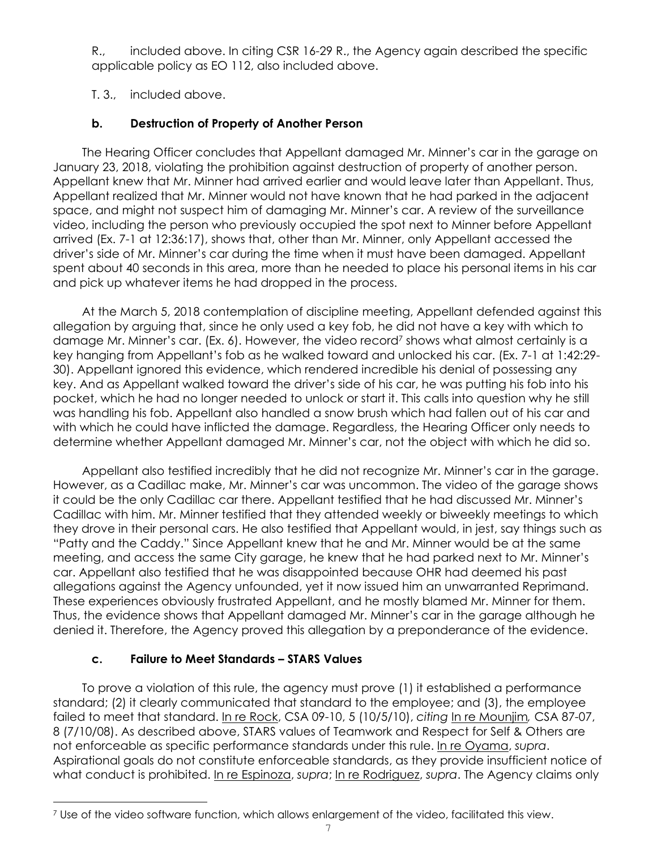R., included above. In citing CSR 16-29 R., the Agency again described the specific applicable policy as EO 112, also included above.

T. 3., included above.

## **b. Destruction of Property of Another Person**

The Hearing Officer concludes that Appellant damaged Mr. Minner's car in the garage on January 23, 2018, violating the prohibition against destruction of property of another person. Appellant knew that Mr. Minner had arrived earlier and would leave later than Appellant. Thus, Appellant realized that Mr. Minner would not have known that he had parked in the adjacent space, and might not suspect him of damaging Mr. Minner's car. A review of the surveillance video, including the person who previously occupied the spot next to Minner before Appellant arrived (Ex. 7-1 at 12:36:17), shows that, other than Mr. Minner, only Appellant accessed the driver's side of Mr. Minner's car during the time when it must have been damaged. Appellant spent about 40 seconds in this area, more than he needed to place his personal items in his car and pick up whatever items he had dropped in the process.

At the March 5, 2018 contemplation of discipline meeting, Appellant defended against this allegation by arguing that, since he only used a key fob, he did not have a key with which to damage Mr. Minner's car. (Ex. 6). However, the video record<sup>7</sup> shows what almost certainly is a key hanging from Appellant's fob as he walked toward and unlocked his car. (Ex. 7-1 at 1:42:29- 30). Appellant ignored this evidence, which rendered incredible his denial of possessing any key. And as Appellant walked toward the driver's side of his car, he was putting his fob into his pocket, which he had no longer needed to unlock or start it. This calls into question why he still was handling his fob. Appellant also handled a snow brush which had fallen out of his car and with which he could have inflicted the damage. Regardless, the Hearing Officer only needs to determine whether Appellant damaged Mr. Minner's car, not the object with which he did so.

Appellant also testified incredibly that he did not recognize Mr. Minner's car in the garage. However, as a Cadillac make, Mr. Minner's car was uncommon. The video of the garage shows it could be the only Cadillac car there. Appellant testified that he had discussed Mr. Minner's Cadillac with him. Mr. Minner testified that they attended weekly or biweekly meetings to which they drove in their personal cars. He also testified that Appellant would, in jest, say things such as "Patty and the Caddy." Since Appellant knew that he and Mr. Minner would be at the same meeting, and access the same City garage, he knew that he had parked next to Mr. Minner's car. Appellant also testified that he was disappointed because OHR had deemed his past allegations against the Agency unfounded, yet it now issued him an unwarranted Reprimand. These experiences obviously frustrated Appellant, and he mostly blamed Mr. Minner for them. Thus, the evidence shows that Appellant damaged Mr. Minner's car in the garage although he denied it. Therefore, the Agency proved this allegation by a preponderance of the evidence.

## **c. Failure to Meet Standards – STARS Values**

To prove a violation of this rule, the agency must prove (1) it established a performance standard; (2) it clearly communicated that standard to the employee; and (3), the employee failed to meet that standard. In re Rock, CSA 09-10, 5 (10/5/10), *citing* In re Mounjim*,* CSA 87-07, 8 (7/10/08). As described above, STARS values of Teamwork and Respect for Self & Others are not enforceable as specific performance standards under this rule. In re Oyama, *supra*. Aspirational goals do not constitute enforceable standards, as they provide insufficient notice of what conduct is prohibited. In re Espinoza, *supra*; In re Rodriguez, *supra*. The Agency claims only

i 7 Use of the video software function, which allows enlargement of the video, facilitated this view.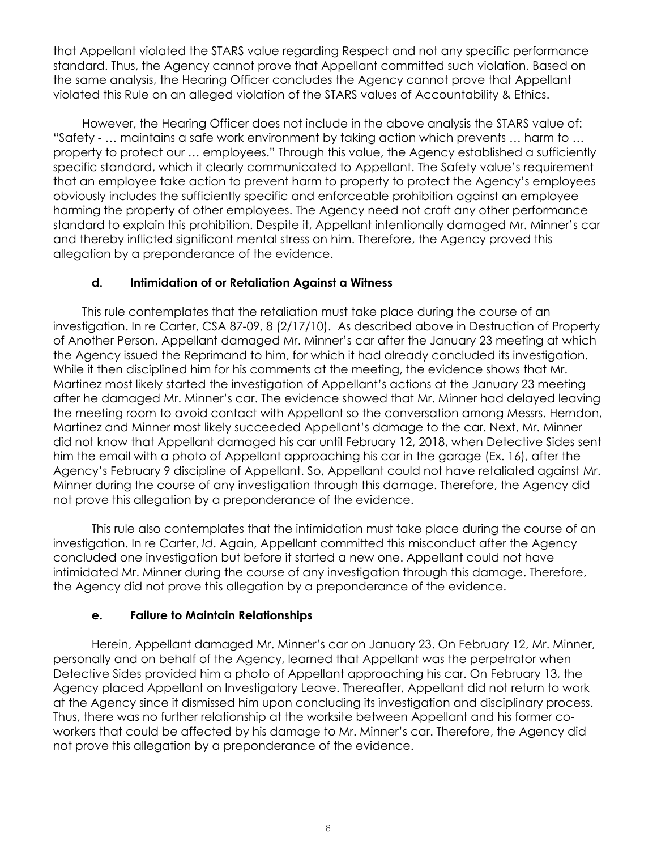that Appellant violated the STARS value regarding Respect and not any specific performance standard. Thus, the Agency cannot prove that Appellant committed such violation. Based on the same analysis, the Hearing Officer concludes the Agency cannot prove that Appellant violated this Rule on an alleged violation of the STARS values of Accountability & Ethics.

However, the Hearing Officer does not include in the above analysis the STARS value of: "Safety - … maintains a safe work environment by taking action which prevents … harm to … property to protect our … employees." Through this value, the Agency established a sufficiently specific standard, which it clearly communicated to Appellant. The Safety value's requirement that an employee take action to prevent harm to property to protect the Agency's employees obviously includes the sufficiently specific and enforceable prohibition against an employee harming the property of other employees. The Agency need not craft any other performance standard to explain this prohibition. Despite it, Appellant intentionally damaged Mr. Minner's car and thereby inflicted significant mental stress on him. Therefore, the Agency proved this allegation by a preponderance of the evidence.

### **d. Intimidation of or Retaliation Against a Witness**

This rule contemplates that the retaliation must take place during the course of an investigation. In re Carter, CSA 87-09, 8 (2/17/10). As described above in Destruction of Property of Another Person, Appellant damaged Mr. Minner's car after the January 23 meeting at which the Agency issued the Reprimand to him, for which it had already concluded its investigation. While it then disciplined him for his comments at the meeting, the evidence shows that Mr. Martinez most likely started the investigation of Appellant's actions at the January 23 meeting after he damaged Mr. Minner's car. The evidence showed that Mr. Minner had delayed leaving the meeting room to avoid contact with Appellant so the conversation among Messrs. Herndon, Martinez and Minner most likely succeeded Appellant's damage to the car. Next, Mr. Minner did not know that Appellant damaged his car until February 12, 2018, when Detective Sides sent him the email with a photo of Appellant approaching his car in the garage (Ex. 16), after the Agency's February 9 discipline of Appellant. So, Appellant could not have retaliated against Mr. Minner during the course of any investigation through this damage. Therefore, the Agency did not prove this allegation by a preponderance of the evidence.

This rule also contemplates that the intimidation must take place during the course of an investigation. In re Carter, *Id*. Again, Appellant committed this misconduct after the Agency concluded one investigation but before it started a new one. Appellant could not have intimidated Mr. Minner during the course of any investigation through this damage. Therefore, the Agency did not prove this allegation by a preponderance of the evidence.

### **e. Failure to Maintain Relationships**

 Herein, Appellant damaged Mr. Minner's car on January 23. On February 12, Mr. Minner, personally and on behalf of the Agency, learned that Appellant was the perpetrator when Detective Sides provided him a photo of Appellant approaching his car. On February 13, the Agency placed Appellant on Investigatory Leave. Thereafter, Appellant did not return to work at the Agency since it dismissed him upon concluding its investigation and disciplinary process. Thus, there was no further relationship at the worksite between Appellant and his former coworkers that could be affected by his damage to Mr. Minner's car. Therefore, the Agency did not prove this allegation by a preponderance of the evidence.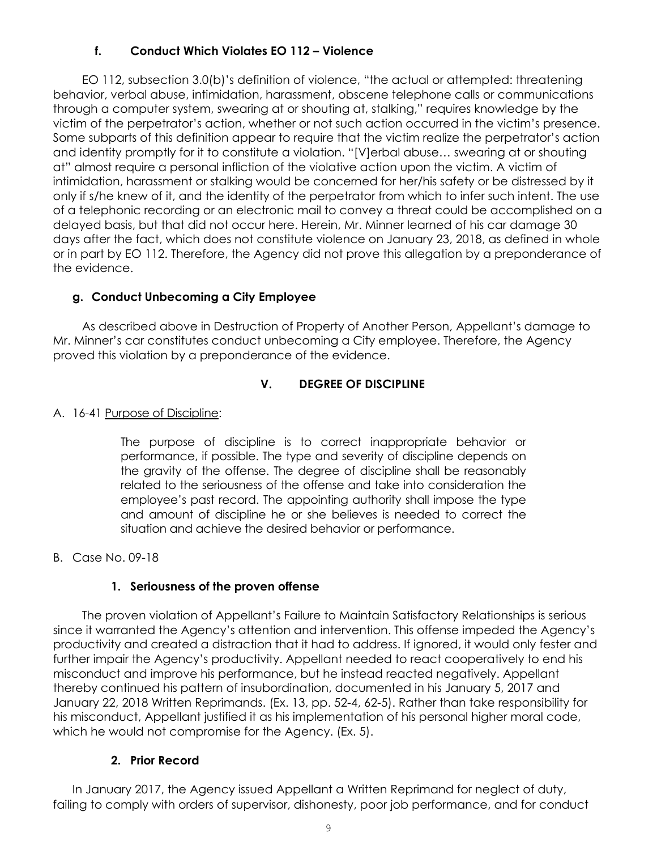## **f. Conduct Which Violates EO 112 – Violence**

EO 112, subsection 3.0(b)'s definition of violence, "the actual or attempted: threatening behavior, verbal abuse, intimidation, harassment, obscene telephone calls or communications through a computer system, swearing at or shouting at, stalking," requires knowledge by the victim of the perpetrator's action, whether or not such action occurred in the victim's presence. Some subparts of this definition appear to require that the victim realize the perpetrator's action and identity promptly for it to constitute a violation. "[V]erbal abuse… swearing at or shouting at" almost require a personal infliction of the violative action upon the victim. A victim of intimidation, harassment or stalking would be concerned for her/his safety or be distressed by it only if s/he knew of it, and the identity of the perpetrator from which to infer such intent. The use of a telephonic recording or an electronic mail to convey a threat could be accomplished on a delayed basis, but that did not occur here. Herein, Mr. Minner learned of his car damage 30 days after the fact, which does not constitute violence on January 23, 2018, as defined in whole or in part by EO 112. Therefore, the Agency did not prove this allegation by a preponderance of the evidence.

### **g. Conduct Unbecoming a City Employee**

As described above in Destruction of Property of Another Person, Appellant's damage to Mr. Minner's car constitutes conduct unbecoming a City employee. Therefore, the Agency proved this violation by a preponderance of the evidence.

### **V. DEGREE OF DISCIPLINE**

### A. 16-41 Purpose of Discipline:

The purpose of discipline is to correct inappropriate behavior or performance, if possible. The type and severity of discipline depends on the gravity of the offense. The degree of discipline shall be reasonably related to the seriousness of the offense and take into consideration the employee's past record. The appointing authority shall impose the type and amount of discipline he or she believes is needed to correct the situation and achieve the desired behavior or performance.

B. Case No. 09-18

### **1. Seriousness of the proven offense**

The proven violation of Appellant's Failure to Maintain Satisfactory Relationships is serious since it warranted the Agency's attention and intervention. This offense impeded the Agency's productivity and created a distraction that it had to address. If ignored, it would only fester and further impair the Agency's productivity. Appellant needed to react cooperatively to end his misconduct and improve his performance, but he instead reacted negatively. Appellant thereby continued his pattern of insubordination, documented in his January 5, 2017 and January 22, 2018 Written Reprimands. (Ex. 13, pp. 52-4, 62-5). Rather than take responsibility for his misconduct, Appellant justified it as his implementation of his personal higher moral code, which he would not compromise for the Agency. (Ex. 5).

### **2. Prior Record**

In January 2017, the Agency issued Appellant a Written Reprimand for neglect of duty, failing to comply with orders of supervisor, dishonesty, poor job performance, and for conduct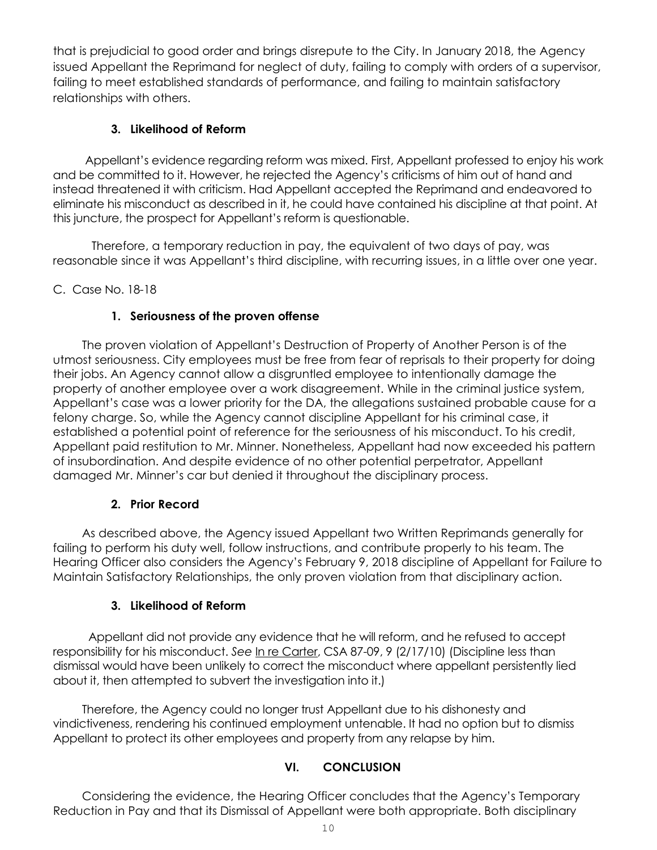that is prejudicial to good order and brings disrepute to the City. In January 2018, the Agency issued Appellant the Reprimand for neglect of duty, failing to comply with orders of a supervisor, failing to meet established standards of performance, and failing to maintain satisfactory relationships with others.

## **3. Likelihood of Reform**

 Appellant's evidence regarding reform was mixed. First, Appellant professed to enjoy his work and be committed to it. However, he rejected the Agency's criticisms of him out of hand and instead threatened it with criticism. Had Appellant accepted the Reprimand and endeavored to eliminate his misconduct as described in it, he could have contained his discipline at that point. At this juncture, the prospect for Appellant's reform is questionable.

 Therefore, a temporary reduction in pay, the equivalent of two days of pay, was reasonable since it was Appellant's third discipline, with recurring issues, in a little over one year.

C. Case No. 18-18

## **1. Seriousness of the proven offense**

The proven violation of Appellant's Destruction of Property of Another Person is of the utmost seriousness. City employees must be free from fear of reprisals to their property for doing their jobs. An Agency cannot allow a disgruntled employee to intentionally damage the property of another employee over a work disagreement. While in the criminal justice system, Appellant's case was a lower priority for the DA, the allegations sustained probable cause for a felony charge. So, while the Agency cannot discipline Appellant for his criminal case, it established a potential point of reference for the seriousness of his misconduct. To his credit, Appellant paid restitution to Mr. Minner. Nonetheless, Appellant had now exceeded his pattern of insubordination. And despite evidence of no other potential perpetrator, Appellant damaged Mr. Minner's car but denied it throughout the disciplinary process.

## **2. Prior Record**

As described above, the Agency issued Appellant two Written Reprimands generally for failing to perform his duty well, follow instructions, and contribute properly to his team. The Hearing Officer also considers the Agency's February 9, 2018 discipline of Appellant for Failure to Maintain Satisfactory Relationships, the only proven violation from that disciplinary action.

## **3. Likelihood of Reform**

 Appellant did not provide any evidence that he will reform, and he refused to accept responsibility for his misconduct. *See* In re Carter, CSA 87-09, 9 (2/17/10) (Discipline less than dismissal would have been unlikely to correct the misconduct where appellant persistently lied about it, then attempted to subvert the investigation into it.)

Therefore, the Agency could no longer trust Appellant due to his dishonesty and vindictiveness, rendering his continued employment untenable. It had no option but to dismiss Appellant to protect its other employees and property from any relapse by him.

# **VI. CONCLUSION**

Considering the evidence, the Hearing Officer concludes that the Agency's Temporary Reduction in Pay and that its Dismissal of Appellant were both appropriate. Both disciplinary